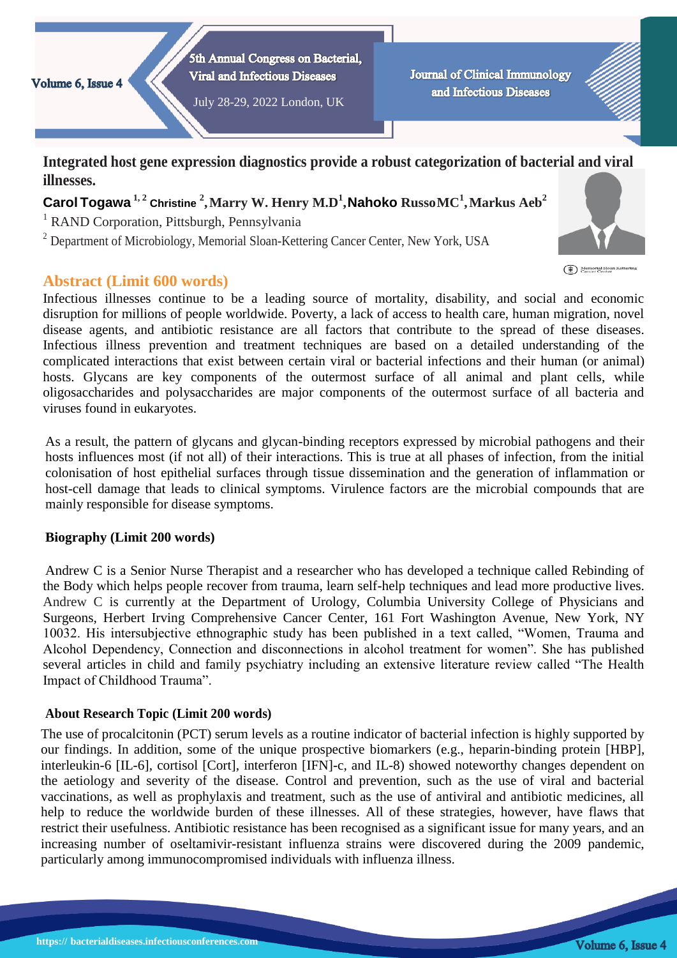

July 28-29, 2022 London, UK

**Journal of Clinical Immunology** and Infectious Diseases



(T) Memorial Sloa

**Integrated host gene expression diagnostics provide a robust categorization of bacterial and viral illnesses.**

# **Carol Togawa 1, 2 Christine <sup>2</sup> ,Marry W. Henry M.D<sup>1</sup> ,Nahoko RussoMC<sup>1</sup> ,Markus Aeb<sup>2</sup>**

<sup>1</sup> RAND Corporation, Pittsburgh, Pennsylvania

<sup>2</sup> Department of Microbiology, Memorial Sloan-Kettering Cancer Center, New York, USA

# **Abstract (Limit 600 words)**

Volume 6, Issue 4

Infectious illnesses continue to be a leading source of mortality, disability, and social and economic disruption for millions of people worldwide. Poverty, a lack of access to health care, human migration, novel disease agents, and antibiotic resistance are all factors that contribute to the spread of these diseases. Infectious illness prevention and treatment techniques are based on a detailed understanding of the complicated interactions that exist between certain viral or bacterial infections and their human (or animal) hosts. Glycans are key components of the outermost surface of all animal and plant cells, while oligosaccharides and polysaccharides are major components of the outermost surface of all bacteria and viruses found in eukaryotes.

As a result, the pattern of glycans and glycan-binding receptors expressed by microbial pathogens and their hosts influences most (if not all) of their interactions. This is true at all phases of infection, from the initial colonisation of host epithelial surfaces through tissue dissemination and the generation of inflammation or host-cell damage that leads to clinical symptoms. Virulence factors are the microbial compounds that are mainly responsible for disease symptoms.

## **Biography (Limit 200 words)**

Andrew C is a Senior Nurse Therapist and a researcher who has developed a technique called Rebinding of the Body which helps people recover from trauma, learn self-help techniques and lead more productive lives. Andrew C is currently at the Department of Urology, Columbia University College of Physicians and Surgeons, Herbert Irving Comprehensive Cancer Center, 161 Fort Washington Avenue, New York, NY 10032. His intersubjective ethnographic study has been published in a text called, "Women, Trauma and Alcohol Dependency, Connection and disconnections in alcohol treatment for women". She has published several articles in child and family psychiatry including an extensive literature review called "The Health Impact of Childhood Trauma".

## **About Research Topic (Limit 200 words)**

The use of procalcitonin (PCT) serum levels as a routine indicator of bacterial infection is highly supported by our findings. In addition, some of the unique prospective biomarkers (e.g., heparin-binding protein [HBP], interleukin-6 [IL-6], cortisol [Cort], interferon [IFN]-c, and IL-8) showed noteworthy changes dependent on the aetiology and severity of the disease. Control and prevention, such as the use of viral and bacterial vaccinations, as well as prophylaxis and treatment, such as the use of antiviral and antibiotic medicines, all help to reduce the worldwide burden of these illnesses. All of these strategies, however, have flaws that restrict their usefulness. Antibiotic resistance has been recognised as a significant issue for many years, and an increasing number of oseltamivir-resistant influenza strains were discovered during the 2009 pandemic, particularly among immunocompromised individuals with influenza illness.